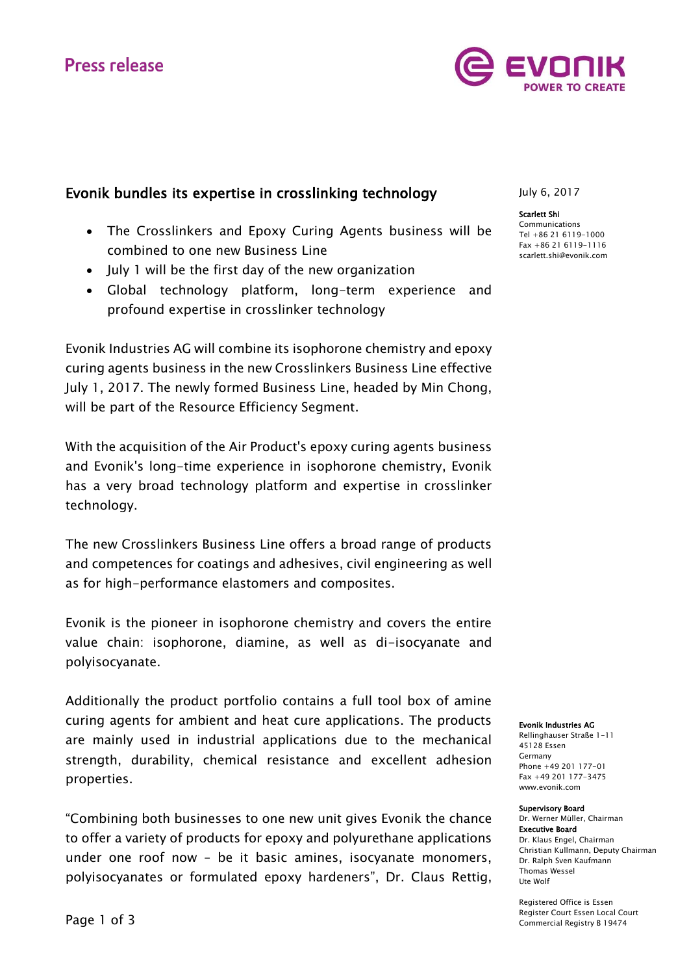# **Press release**



# Evonik bundles its expertise in crosslinking technology

- The Crosslinkers and Epoxy Curing Agents business will be combined to one new Business Line
- July 1 will be the first day of the new organization
- Global technology platform, long-term experience and profound expertise in crosslinker technology

Evonik Industries AG will combine its isophorone chemistry and epoxy curing agents business in the new Crosslinkers Business Line effective July 1, 2017. The newly formed Business Line, headed by Min Chong, will be part of the Resource Efficiency Segment.

With the acquisition of the Air Product's epoxy curing agents business and Evonik's long-time experience in isophorone chemistry, Evonik has a very broad technology platform and expertise in crosslinker technology.

The new Crosslinkers Business Line offers a broad range of products and competences for coatings and adhesives, civil engineering as well as for high-performance elastomers and composites.

Evonik is the pioneer in isophorone chemistry and covers the entire value chain: isophorone, diamine, as well as di-isocyanate and polyisocyanate.

Additionally the product portfolio contains a full tool box of amine curing agents for ambient and heat cure applications. The products are mainly used in industrial applications due to the mechanical strength, durability, chemical resistance and excellent adhesion properties.

"Combining both businesses to one new unit gives Evonik the chance to offer a variety of products for epoxy and polyurethane applications under one roof now – be it basic amines, isocyanate monomers, polyisocyanates or formulated epoxy hardeners", Dr. Claus Rettig,

July 6, 2017

Scarlett Shi Communications Tel +86 21 6119-1000 Fax +86 21 6119-1116 [scarlett.shi@evonik.com](mailto:scarlett.shi@evonik.com)

Evonik Industries AG

Rellinghauser Straße 1-11 45128 Essen Germany Phone +49 201 177-01 Fax +49 201 177-3475 www.evonik.com

#### Supervisory Board

Dr. Werner Müller, Chairman Executive Board Dr. Klaus Engel, Chairman Christian Kullmann, Deputy Chairman Dr. Ralph Sven Kaufmann Thomas Wessel Ute Wolf

Registered Office is Essen Register Court Essen Local Court Commercial Registry B 19474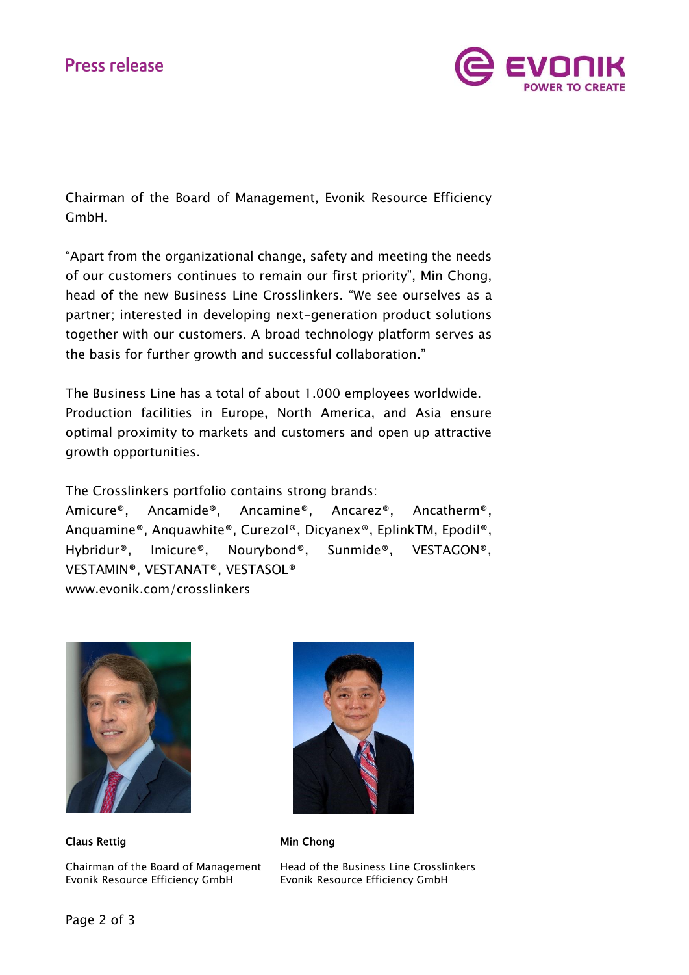

Chairman of the Board of Management, Evonik Resource Efficiency GmbH.

"Apart from the organizational change, safety and meeting the needs of our customers continues to remain our first priority", Min Chong, head of the new Business Line Crosslinkers. "We see ourselves as a partner; interested in developing next-generation product solutions together with our customers. A broad technology platform serves as the basis for further growth and successful collaboration."

The Business Line has a total of about 1.000 employees worldwide. Production facilities in Europe, North America, and Asia ensure optimal proximity to markets and customers and open up attractive growth opportunities.

The Crosslinkers portfolio contains strong brands:

Amicure®, Ancamide®, Ancamine®, Ancarez®, Ancatherm®, Anquamine®, Anquawhite®, Curezol®, Dicyanex®, EplinkTM, Epodil®, Hybridur®, Imicure®, Nourybond®, Sunmide®, VESTAGON®, VESTAMIN®, VESTANAT®, VESTASOL® [www.evonik.com/crosslinkers](http://www.evonik.com/crosslinkers)



Claus Rettig **Min Chong** 

Chairman of the Board of Management Head of the Business Line Crosslinkers Evonik Resource Efficiency GmbH Evonik Resource Efficiency GmbH